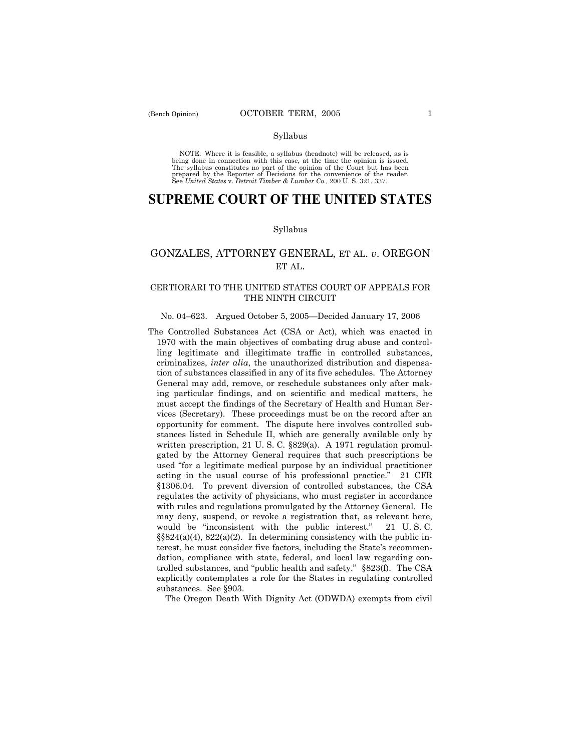NOTE: Where it is feasible, a syllabus (headnote) will be released, as is being done in connection with this case, at the time the opinion is issued. The syllabus constitutes no part of the opinion of the Court but has been<br>prepared by the Reporter of Decisions for the convenience of the reader.<br>See United States v. Detroit Timber & Lumber Co., 200 U. S. 321, 337.

# **SUPREME COURT OF THE UNITED STATES**

#### Syllabus

## GONZALES, ATTORNEY GENERAL, ET AL. *v*. OREGON ET AL.

### CERTIORARI TO THE UNITED STATES COURT OF APPEALS FOR THE NINTH CIRCUIT

### No. 04-623. Argued October 5, 2005–Decided January 17, 2006

The Controlled Substances Act (CSA or Act), which was enacted in 1970 with the main objectives of combating drug abuse and controlling legitimate and illegitimate traffic in controlled substances, criminalizes, *inter alia*, the unauthorized distribution and dispensation of substances classified in any of its five schedules. The Attorney General may add, remove, or reschedule substances only after making particular findings, and on scientific and medical matters, he must accept the findings of the Secretary of Health and Human Services (Secretary). These proceedings must be on the record after an opportunity for comment. The dispute here involves controlled substances listed in Schedule II, which are generally available only by written prescription, 21 U.S.C. §829(a). A 1971 regulation promulgated by the Attorney General requires that such prescriptions be used "for a legitimate medical purpose by an individual practitioner acting in the usual course of his professional practice." 21 CFR ß1306.04. To prevent diversion of controlled substances, the CSA regulates the activity of physicians, who must register in accordance with rules and regulations promulgated by the Attorney General. He may deny, suspend, or revoke a registration that, as relevant here, would be "inconsistent with the public interest."  $21$  U.S.C.  $\S$ §824(a)(4), 822(a)(2). In determining consistency with the public interest, he must consider five factors, including the State's recommendation, compliance with state, federal, and local law regarding controlled substances, and "public health and safety."  $\S 823(f)$ . The CSA explicitly contemplates a role for the States in regulating controlled substances. See ß903.

The Oregon Death With Dignity Act (ODWDA) exempts from civil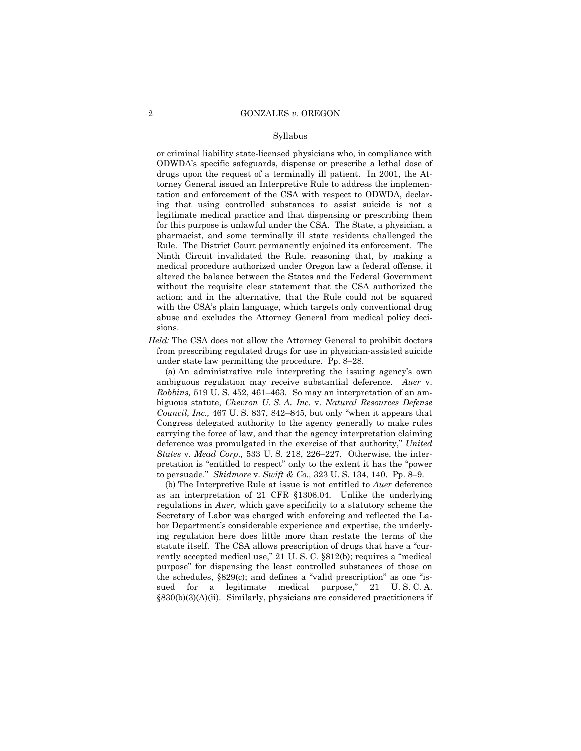or criminal liability state-licensed physicians who, in compliance with ODWDAís specific safeguards, dispense or prescribe a lethal dose of drugs upon the request of a terminally ill patient. In 2001, the Attorney General issued an Interpretive Rule to address the implementation and enforcement of the CSA with respect to ODWDA, declaring that using controlled substances to assist suicide is not a legitimate medical practice and that dispensing or prescribing them for this purpose is unlawful under the CSA. The State, a physician, a pharmacist, and some terminally ill state residents challenged the Rule. The District Court permanently enjoined its enforcement. The Ninth Circuit invalidated the Rule, reasoning that, by making a medical procedure authorized under Oregon law a federal offense, it altered the balance between the States and the Federal Government without the requisite clear statement that the CSA authorized the action; and in the alternative, that the Rule could not be squared with the CSA's plain language, which targets only conventional drug abuse and excludes the Attorney General from medical policy decisions.

*Held:* The CSA does not allow the Attorney General to prohibit doctors from prescribing regulated drugs for use in physician-assisted suicide under state law permitting the procedure. Pp.  $8-28$ .

 (a) An administrative rule interpreting the issuing agencyís own ambiguous regulation may receive substantial deference. *Auer* v. *Robbins*, 519 U.S. 452, 461–463. So may an interpretation of an ambiguous statute, *Chevron U. S. A. Inc.* v. *Natural Resources Defense Council, Inc.,* 467 U.S. 837, 842–845, but only "when it appears that Congress delegated authority to the agency generally to make rules carrying the force of law, and that the agency interpretation claiming deference was promulgated in the exercise of that authority," *United States* v. *Mead Corp.*, 533 U. S. 218, 226-227. Otherwise, the interpretation is "entitled to respect" only to the extent it has the "power to persuade." *Skidmore* v. *Swift & Co.*, 323 U. S. 134, 140. Pp. 8-9.

 (b) The Interpretive Rule at issue is not entitled to *Auer* deference as an interpretation of 21 CFR ß1306.04. Unlike the underlying regulations in *Auer,* which gave specificity to a statutory scheme the Secretary of Labor was charged with enforcing and reflected the Labor Department's considerable experience and expertise, the underlying regulation here does little more than restate the terms of the statute itself. The CSA allows prescription of drugs that have a "currently accepted medical use," 21 U.S.C. §812(b); requires a "medical purpose" for dispensing the least controlled substances of those on the schedules,  $§829(c)$ ; and defines a "valid prescription" as one "issued for a legitimate medical purpose," 21 U.S.C.A. §830(b)(3)(A)(ii). Similarly, physicians are considered practitioners if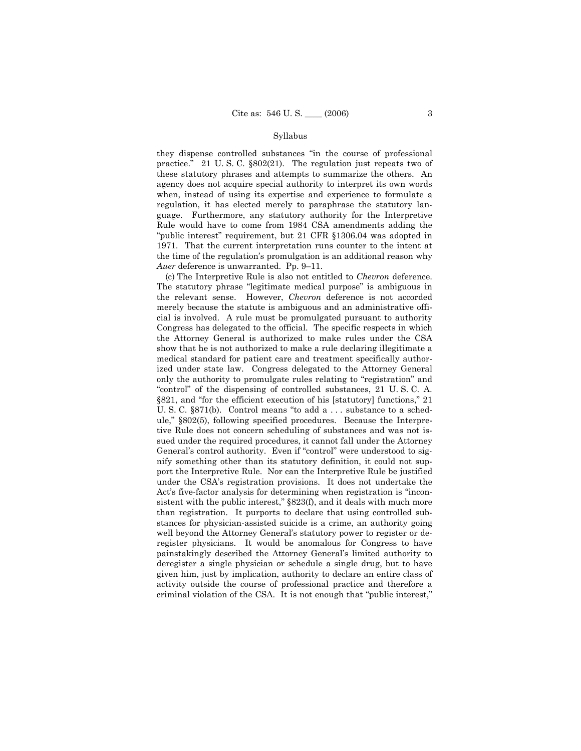they dispense controlled substances "in the course of professional practice." 21 U.S.C. §802(21). The regulation just repeats two of these statutory phrases and attempts to summarize the others. An agency does not acquire special authority to interpret its own words when, instead of using its expertise and experience to formulate a regulation, it has elected merely to paraphrase the statutory language. Furthermore, any statutory authority for the Interpretive Rule would have to come from 1984 CSA amendments adding the "public interest" requirement, but 21 CFR §1306.04 was adopted in 1971. That the current interpretation runs counter to the intent at the time of the regulation's promulgation is an additional reason why Auer deference is unwarranted. Pp. 9-11.

(c) The Interpretive Rule is also not entitled to *Chevron* deference. The statutory phrase "legitimate medical purpose" is ambiguous in the relevant sense. However, Chevron deference is not accorded merely because the statute is ambiguous and an administrative official is involved. A rule must be promulgated pursuant to authority Congress has delegated to the official. The specific respects in which the Attorney General is authorized to make rules under the CSA show that he is not authorized to make a rule declaring illegitimate a medical standard for patient care and treatment specifically authorized under state law. Congress delegated to the Attorney General only the authority to promulgate rules relating to "registration" and "control" of the dispensing of controlled substances, 21 U.S.C.A. §821, and "for the efficient execution of his [statutory] functions," 21 U.S.C.  $\S 871(b)$ . Control means "to add a ... substance to a schedule," §802(5), following specified procedures. Because the Interpretive Rule does not concern scheduling of substances and was not issued under the required procedures, it cannot fall under the Attorney General's control authority. Even if "control" were understood to signify something other than its statutory definition, it could not support the Interpretive Rule. Nor can the Interpretive Rule be justified under the CSA's registration provisions. It does not undertake the Act's five-factor analysis for determining when registration is "inconsistent with the public interest," §823(f), and it deals with much more than registration. It purports to declare that using controlled substances for physician-assisted suicide is a crime, an authority going well beyond the Attorney General's statutory power to register or deregister physicians. It would be anomalous for Congress to have painstakingly described the Attorney General's limited authority to deregister a single physician or schedule a single drug, but to have given him, just by implication, authority to declare an entire class of activity outside the course of professional practice and therefore a criminal violation of the CSA. It is not enough that "public interest,"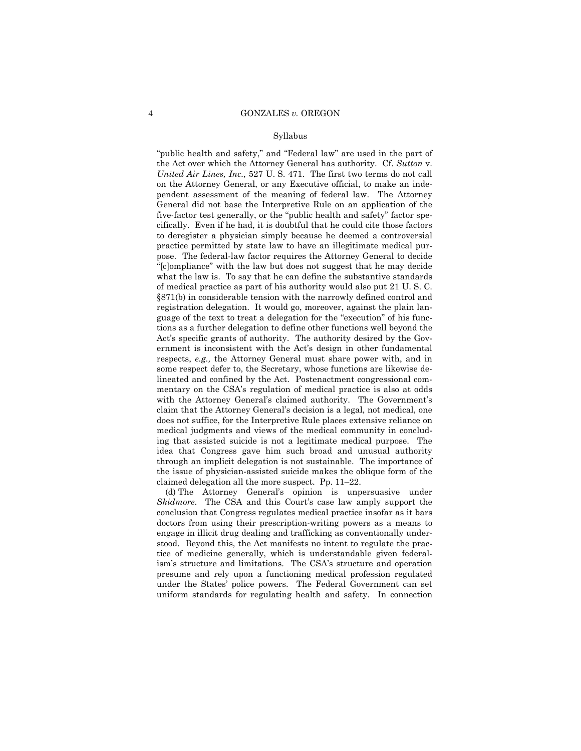"public health and safety," and "Federal law" are used in the part of the Act over which the Attorney General has authority. Cf. *Sutton* v. *United Air Lines, Inc.,* 527 U. S. 471. The first two terms do not call on the Attorney General, or any Executive official, to make an independent assessment of the meaning of federal law. The Attorney General did not base the Interpretive Rule on an application of the five-factor test generally, or the "public health and safety" factor specifically. Even if he had, it is doubtful that he could cite those factors to deregister a physician simply because he deemed a controversial practice permitted by state law to have an illegitimate medical purpose. The federal-law factor requires the Attorney General to decide "[c]ompliance" with the law but does not suggest that he may decide what the law is. To say that he can define the substantive standards of medical practice as part of his authority would also put 21 U. S. C. ß871(b) in considerable tension with the narrowly defined control and registration delegation. It would go, moreover, against the plain language of the text to treat a delegation for the "execution" of his functions as a further delegation to define other functions well beyond the Act's specific grants of authority. The authority desired by the Government is inconsistent with the Act's design in other fundamental respects, *e.g.,* the Attorney General must share power with, and in some respect defer to, the Secretary, whose functions are likewise delineated and confined by the Act. Postenactment congressional commentary on the CSA's regulation of medical practice is also at odds with the Attorney General's claimed authority. The Government's claim that the Attorney Generalís decision is a legal, not medical, one does not suffice, for the Interpretive Rule places extensive reliance on medical judgments and views of the medical community in concluding that assisted suicide is not a legitimate medical purpose. The idea that Congress gave him such broad and unusual authority through an implicit delegation is not sustainable. The importance of the issue of physician-assisted suicide makes the oblique form of the claimed delegation all the more suspect. Pp.  $11-22$ .

 (d) The Attorney Generalís opinion is unpersuasive under *Skidmore*. The CSA and this Court's case law amply support the conclusion that Congress regulates medical practice insofar as it bars doctors from using their prescription-writing powers as a means to engage in illicit drug dealing and trafficking as conventionally understood. Beyond this, the Act manifests no intent to regulate the practice of medicine generally, which is understandable given federalism's structure and limitations. The CSA's structure and operation presume and rely upon a functioning medical profession regulated under the States' police powers. The Federal Government can set uniform standards for regulating health and safety. In connection